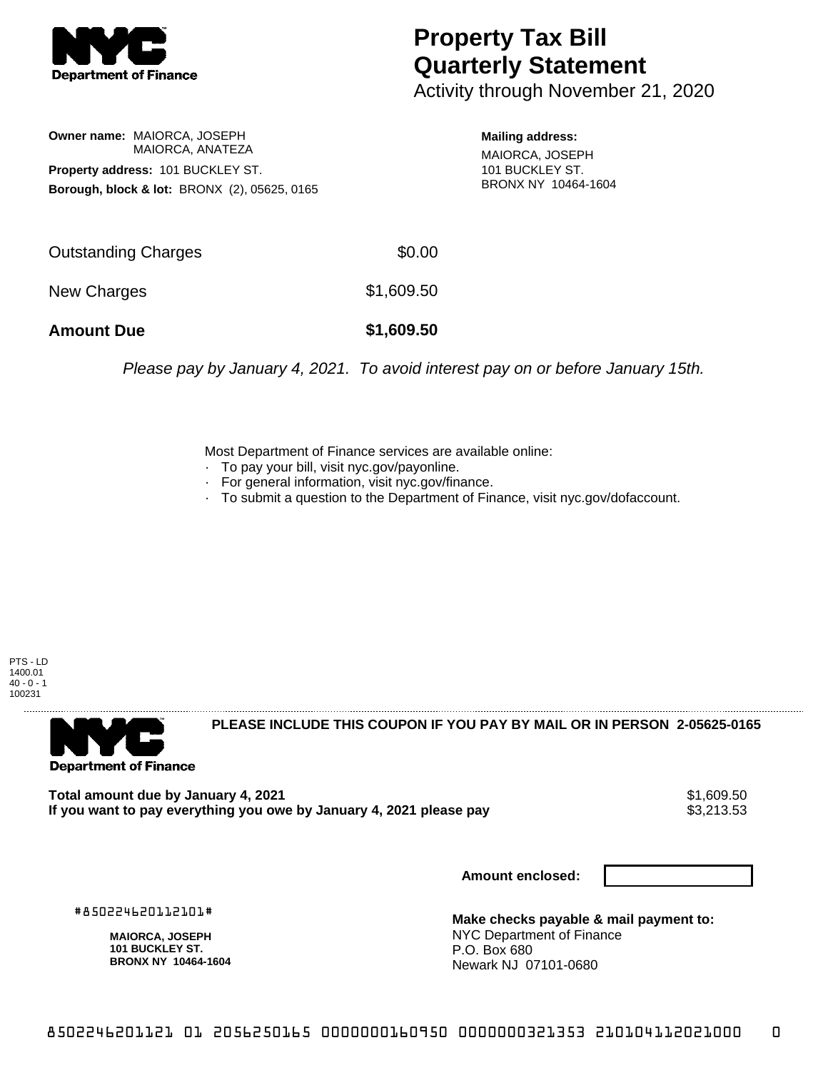

## **Property Tax Bill Quarterly Statement**

Activity through November 21, 2020

## **Owner name:** MAIORCA, JOSEPH MAIORCA, ANATEZA **Property address:** 101 BUCKLEY ST. **Borough, block & lot:** BRONX (2), 05625, 0165

**Mailing address:**

MAIORCA, JOSEPH 101 BUCKLEY ST. BRONX NY 10464-1604

| <b>Amount Due</b>          | \$1,609.50 |
|----------------------------|------------|
| New Charges                | \$1,609.50 |
| <b>Outstanding Charges</b> | \$0.00     |

Please pay by January 4, 2021. To avoid interest pay on or before January 15th.

Most Department of Finance services are available online:

- · To pay your bill, visit nyc.gov/payonline.
- For general information, visit nyc.gov/finance.
- · To submit a question to the Department of Finance, visit nyc.gov/dofaccount.





**PLEASE INCLUDE THIS COUPON IF YOU PAY BY MAIL OR IN PERSON 2-05625-0165** 

Total amount due by January 4, 2021<br>If you want to pay everything you owe by January 4, 2021 please pay **show that the summan way of the set of th** If you want to pay everything you owe by January 4, 2021 please pay

**Amount enclosed:**

#850224620112101#

**MAIORCA, JOSEPH 101 BUCKLEY ST. BRONX NY 10464-1604**

**Make checks payable & mail payment to:** NYC Department of Finance P.O. Box 680 Newark NJ 07101-0680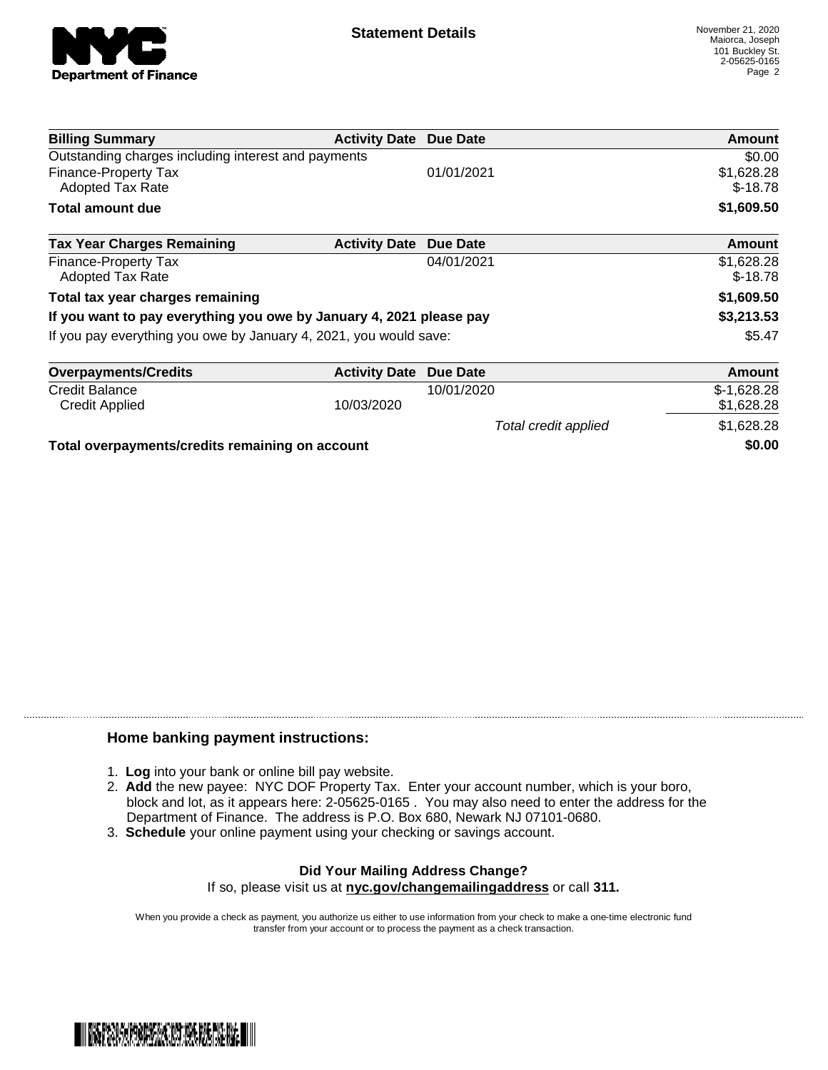

Total credit applied  $$1,628.28$ 

| <b>Billing Summary</b>                                              | <b>Activity Date Due Date</b> |                 | Amount                  |
|---------------------------------------------------------------------|-------------------------------|-----------------|-------------------------|
| Outstanding charges including interest and payments                 |                               |                 | \$0.00                  |
| <b>Finance-Property Tax</b><br><b>Adopted Tax Rate</b>              |                               | 01/01/2021      | \$1,628.28<br>$$-18.78$ |
| <b>Total amount due</b>                                             |                               |                 | \$1,609.50              |
| <b>Tax Year Charges Remaining</b>                                   | <b>Activity Date</b>          | Due Date        | Amount                  |
| Finance-Property Tax<br><b>Adopted Tax Rate</b>                     |                               | 04/01/2021      | \$1,628.28<br>$$-18.78$ |
| Total tax year charges remaining                                    |                               |                 | \$1,609.50              |
| If you want to pay everything you owe by January 4, 2021 please pay |                               |                 | \$3,213.53              |
| If you pay everything you owe by January 4, 2021, you would save:   |                               |                 | \$5.47                  |
| <b>Overpayments/Credits</b>                                         | <b>Activity Date</b>          | <b>Due Date</b> | Amount                  |
| <b>Credit Balance</b>                                               |                               | 10/01/2020      | $$-1,628.28$            |
| <b>Credit Applied</b>                                               | 10/03/2020                    |                 | \$1,628.28              |

**Total overpayments/credits remaining on account \$0.00**

## **Home banking payment instructions:**

- 1. **Log** into your bank or online bill pay website.
- 2. **Add** the new payee: NYC DOF Property Tax. Enter your account number, which is your boro, block and lot, as it appears here: 2-05625-0165 . You may also need to enter the address for the Department of Finance. The address is P.O. Box 680, Newark NJ 07101-0680.
- 3. **Schedule** your online payment using your checking or savings account.

## **Did Your Mailing Address Change?** If so, please visit us at **nyc.gov/changemailingaddress** or call **311.**

When you provide a check as payment, you authorize us either to use information from your check to make a one-time electronic fund transfer from your account or to process the payment as a check transaction.